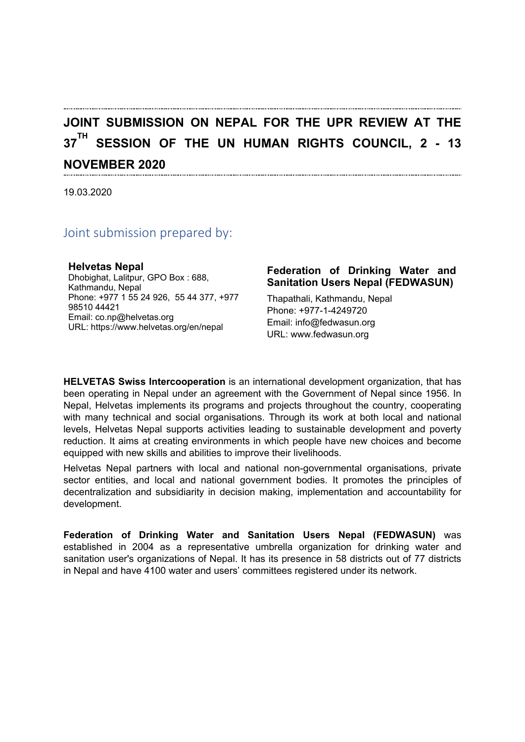# **JOINT SUBMISSION ON NEPAL FOR THE UPR REVIEW AT THE 37 TH SESSION OF THE UN HUMAN RIGHTS COUNCIL, 2 - 13 NOVEMBER 2020**

19.03.2020

#### Joint submission prepared by:

#### **Helvetas Nepal**

Dhobighat, Lalitpur, GPO Box : 688, Kathmandu, Nepal Phone: +977 1 55 24 926, 55 44 377, +977 98510 44421 Email: co.np@helvetas.org URL: <https://www.helvetas.org/en/nepal>

#### **Federation of Drinking Water and Sanitation Users Nepal (FEDWASUN)**

Thapathali, Kathmandu, Nepal Phone: +977-1-4249720 Email: info@fedwasun.org URL: [www.fedwasun.org](http://www.fedwasun.org)

**HELVETAS Swiss Intercooperation** is an international development organization, that has been operating in Nepal under an agreement with the Government of Nepal since 1956. In Nepal, Helvetas implements its programs and projects throughout the country, cooperating with many technical and social organisations. Through its work at both local and national levels, Helvetas Nepal supports activities leading to sustainable development and poverty reduction. It aims at creating environments in which people have new choices and become equipped with new skills and abilities to improve their livelihoods.

Helvetas Nepal partners with local and national non-governmental organisations, private sector entities, and local and national government bodies. It promotes the principles of decentralization and subsidiarity in decision making, implementation and accountability for development.

**Federation of Drinking Water and Sanitation Users Nepal (FEDWASUN)** was established in 2004 as <sup>a</sup> representative umbrella organization for drinking water and sanitation user's organizations of Nepal. It has its presence in 58 districts out of 77 districts in Nepal and have 4100 water and users' committees registered under its network.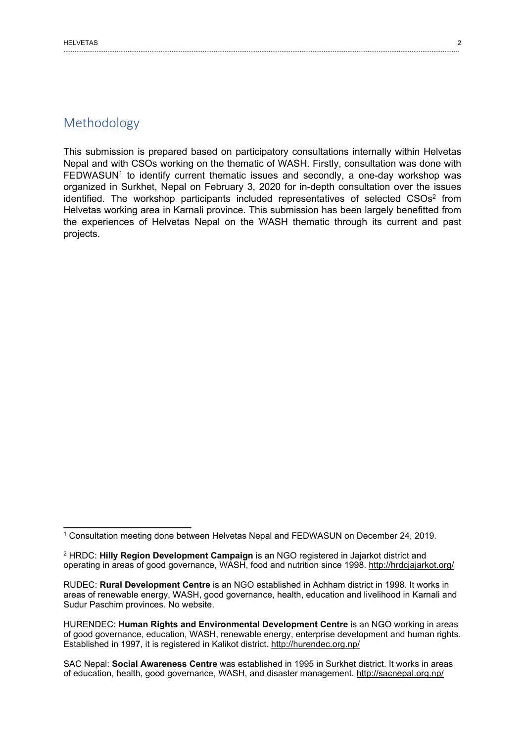This submission is prepared based on participatory consultations internally within Helvetas Nepal and with CSOs working on the thematic of WASH. Firstly, consultation was done with  $\mathsf{FEDWASUN}^\mathsf{1}$  to identify current thematic issues and secondly, a one-day workshop was organized in Surkhet, Nepal on February 3, 2020 for in-depth consultation over the issues identified. The workshop participants included representatives of selected  $\mathsf{C} \mathsf{S} \mathsf{O} \mathsf{s}^2$  from Helvetas working area in Karnali province. This submission has been largely benefitted from the experiences of Helvetas Nepal on the WASH thematic through its current and past projects.

<sup>1</sup> Consultation meeting done between Helvetas Nepal and FEDWASUN on December 24, 2019.

<sup>2</sup> HRDC: **Hilly Region Development Campaign** is an NGO registered in Jajarkot district and operating in areas of good governance, WASH, food and nutrition since 1998. http://hrdcjajarkot.org/

RUDEC: **Rural Development Centre** is an NGO established in Achham district in 1998. It works in areas of renewable energy, WASH, good governance, health, education and livelihood in Karnali and Sudur Paschim provinces. No website.

HURENDEC: **Human Rights and Environmental Development Centre** is an NGO working in areas of good governance, education, WASH, renewable energy, enterprise development and human rights. Established in 1997, it is registered in Kalikot district. http://hurendec.org.np/

SAC Nepal: **Social Awareness Centre** was established in 1995 in Surkhet district. It works in areas of education, health, good governance, WASH, and disaster management. http://sacnepal.org.np/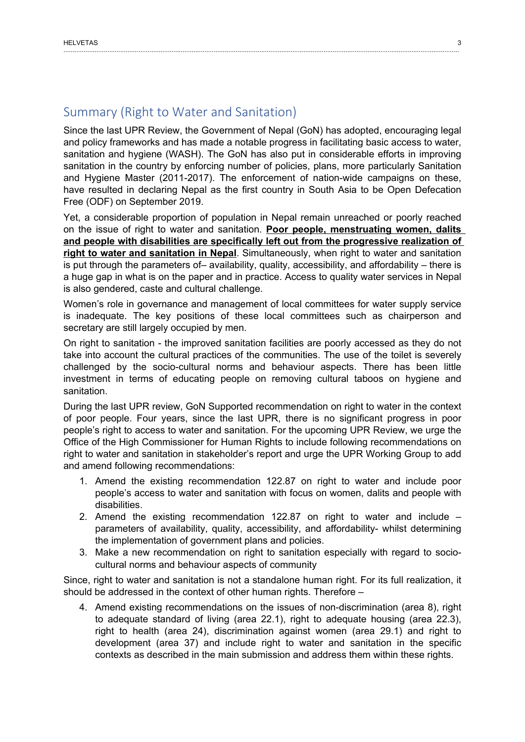## Summary (Right to Water and Sanitation)

Since the last UPR Review, the Government of Nepal (GoN) has adopted, encouraging legal and policy frameworks and has made <sup>a</sup> notable progress in facilitating basic access to water, sanitation and hygiene (WASH). The GoN has also put in considerable efforts in improving sanitation in the country by enforcing number of policies, plans, more particularly Sanitation and Hygiene Master (2011-2017). The enforcement of nation-wide campaigns on these, have resulted in declaring Nepal as the first country in South Asia to be Open Defecation Free (ODF) on September 2019.

Yet, <sup>a</sup> considerable proportion of population in Nepal remain unreached or poorly reached on the issue of right to water and sanitation. **Poor people, menstruating women, dalits and people with disabilities are specifically left out from the progressive realization of right to water and sanitation in Nepal**. Simultaneously, when right to water and sanitation is put through the parameters of– availability, quality, accessibility, and affordability – there is <sup>a</sup> huge gap in what is on the paper and in practice. Access to quality water services in Nepal is also gendered, caste and cultural challenge.

Women'<sup>s</sup> role in governance and management of local committees for water supply service is inadequate. The key positions of these local committees such as chairperson and secretary are still largely occupied by men.

On right to sanitation - the improved sanitation facilities are poorly accessed as they do not take into account the cultural practices of the communities. The use of the toilet is severely challenged by the socio-cultural norms and behaviour aspects. There has been little investment in terms of educating people on removing cultural taboos on hygiene and sanitation.

During the last UPR review, GoN Supported recommendation on right to water in the context of poor people. Four years, since the last UPR, there is no significant progress in poor people'<sup>s</sup> right to access to water and sanitation. For the upcoming UPR Review, we urge the Office of the High Commissioner for Human Rights to include following recommendations on right to water and sanitation in stakeholder'<sup>s</sup> report and urge the UPR Working Group to add and amend following recommendations:

- 1. Amend the existing recommendation 122.87 on right to water and include poor people'<sup>s</sup> access to water and sanitation with focus on women, dalits and people with disabilities.
- 2. Amend the existing recommendation 122.87 on right to water and include parameters of availability, quality, accessibility, and affordability- whilst determining the implementation of government plans and policies.
- 3. Make <sup>a</sup> new recommendation on right to sanitation especially with regard to sociocultural norms and behaviour aspects of community

Since, right to water and sanitation is not <sup>a</sup> standalone human right. For its full realization, it should be addressed in the context of other human rights. Therefore –

4. Amend existing recommendations on the issues of non-discrimination (area 8), right to adequate standard of living (area 22.1), right to adequate housing (area 22.3), right to health (area 24), discrimination against women (area 29.1) and right to development (area 37) and include right to water and sanitation in the specific contexts as described in the main submission and address them within these rights.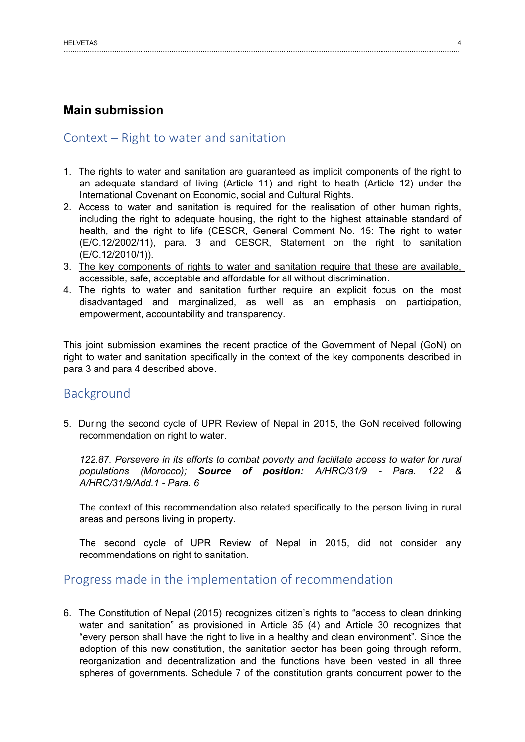## **Main submission**

#### Context – Right to water and sanitation

- 1. The rights to water and sanitation are guaranteed as implicit components of the right to an adequate standard of living (Article 11) and right to heath (Article 12) under the International Covenant on Economic, social and Cultural Rights.
- 2. Access to water and sanitation is required for the realisation of other human rights, including the right to adequate housing, the right to the highest attainable standard of health, and the right to life (CESCR, General Comment No. 15: The right to water (E/C.12/2002/11), para. 3 and CESCR, Statement on the right to sanitation (E/C.12/2010/1)).
- 3. The key components of rights to water and sanitation require that these are available, accessible, safe, acceptable and affordable for all without discrimination.
- 4. The rights to water and sanitation further require an explicit focus on the most disadvantaged and marginalized, as well as an emphasis on participation, empowerment, accountability and transparency.

This joint submission examines the recent practice of the Government of Nepal (GoN) on right to water and sanitation specifically in the context of the key components described in para 3 and para 4 described above.

## Background

5. During the second cycle of UPR Review of Nepal in 2015, the GoN received following recommendation on right to water.

*122.87. Persevere in its efforts to combat poverty and facilitate access to water for rural populations (Morocco); Source of position: A/HRC/31/9 - Para. 122 & A/HRC/31/9/Add.1 - Para. 6*

The context of this recommendation also related specifically to the person living in rural areas and persons living in property.

The second cycle of UPR Review of Nepal in 2015, did not consider any recommendations on right to sanitation.

## Progress made in the implementation of recommendation

6. The Constitution of Nepal (2015) recognizes citizen'<sup>s</sup> rights to "access to clean drinking water and sanitation" as provisioned in Article 35 (4) and Article 30 recognizes that "every person shall have the right to live in <sup>a</sup> healthy and clean environment". Since the adoption of this new constitution, the sanitation sector has been going through reform, reorganization and decentralization and the functions have been vested in all three spheres of governments. Schedule 7 of the constitution grants concurrent power to the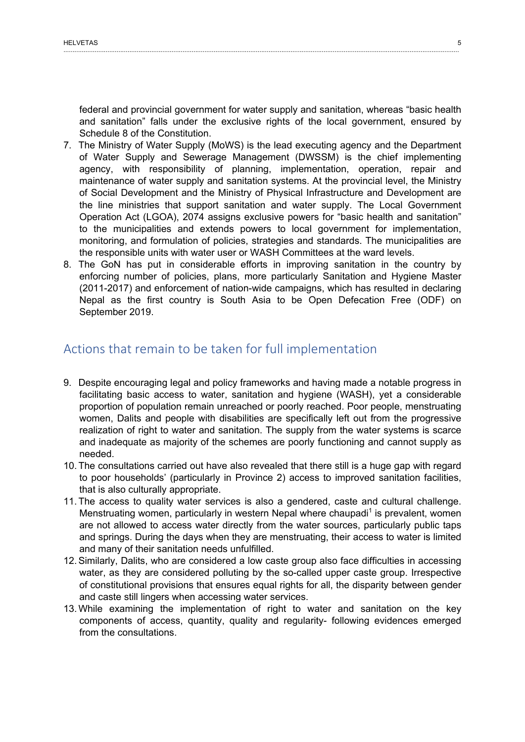federal and provincial government for water supply and sanitation, whereas "basic health and sanitation" falls under the exclusive rights of the local government, ensured by Schedule 8 of the Constitution.

- 7. The Ministry of Water Supply (MoWS) is the lead executing agency and the Department of Water Supply and Sewerage Management (DWSSM) is the chief implementing agency, with responsibility of planning, implementation, operation, repair and maintenance of water supply and sanitation systems. At the provincial level, the Ministry of Social Development and the Ministry of Physical Infrastructure and Development are the line ministries that support sanitation and water supply. The Local Government Operation Act (LGOA), 2074 assigns exclusive powers for "basic health and sanitation" to the municipalities and extends powers to local government for implementation, monitoring, and formulation of policies, strategies and standards. The municipalities are the responsible units with water user or WASH Committees at the ward levels.
- 8. The GoN has put in considerable efforts in improving sanitation in the country by enforcing number of policies, plans, more particularly Sanitation and Hygiene Master (2011-2017) and enforcement of nation-wide campaigns, which has resulted in declaring Nepal as the first country is South Asia to be Open Defecation Free (ODF) on September 2019.

## Actions that remain to be taken for full implementation

- 9. Despite encouraging legal and policy frameworks and having made <sup>a</sup> notable progress in facilitating basic access to water, sanitation and hygiene (WASH), yet <sup>a</sup> considerable proportion of population remain unreached or poorly reached. Poor people, menstruating women, Dalits and people with disabilities are specifically left out from the progressive realization of right to water and sanitation. The supply from the water systems is scarce and inadequate as majority of the schemes are poorly functioning and cannot supply as needed.
- 10. The consultations carried out have also revealed that there still is <sup>a</sup> huge gap with regard to poor households' (particularly in Province 2) access to improved sanitation facilities, that is also culturally appropriate.
- 11. The access to quality water services is also <sup>a</sup> gendered, caste and cultural challenge. Menstruating women, particularly in western Nepal where chaupadi<sup>1</sup> is prevalent, women are not allowed to access water directly from the water sources, particularly public taps and springs. During the days when they are menstruating, their access to water is limited and many of their sanitation needs unfulfilled.
- 12.Similarly, Dalits, who are considered <sup>a</sup> low caste group also face difficulties in accessing water, as they are considered polluting by the so-called upper caste group. Irrespective of constitutional provisions that ensures equal rights for all, the disparity between gender and caste still lingers when accessing water services.
- 13.While examining the implementation of right to water and sanitation on the key components of access, quantity, quality and regularity- following evidences emerged from the consultations.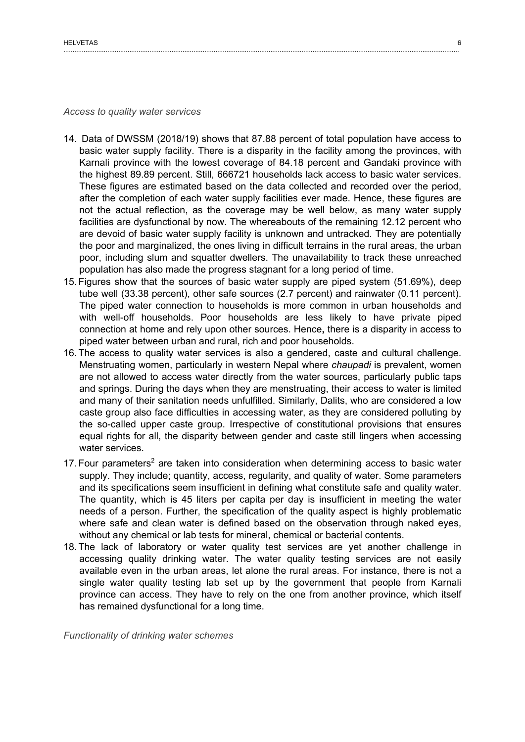*Access to quality water services*

- 14. Data of DWSSM (2018/19) shows that 87.88 percent of total population have access to basic water supply facility. There is <sup>a</sup> disparity in the facility among the provinces, with Karnali province with the lowest coverage of 84.18 percent and Gandaki province with the highest 89.89 percent. Still, 666721 households lack access to basic water services. These figures are estimated based on the data collected and recorded over the period, after the completion of each water supply facilities ever made. Hence, these figures are not the actual reflection, as the coverage may be well below, as many water supply facilities are dysfunctional by now. The whereabouts of the remaining 12.12 percent who are devoid of basic water supply facility is unknown and untracked. They are potentially the poor and marginalized, the ones living in difficult terrains in the rural areas, the urban poor, including slum and squatter dwellers. The unavailability to track these unreached population has also made the progress stagnant for <sup>a</sup> long period of time.
- 15. Figures show that the sources of basic water supply are piped system (51.69%), deep tube well (33.38 percent), other safe sources (2.7 percent) and rainwater (0.11 percent). The piped water connection to households is more common in urban households and with well-off households. Poor households are less likely to have private piped connection at home and rely upon other sources. Hence**,** there is <sup>a</sup> disparity in access to piped water between urban and rural, rich and poor households.
- 16. The access to quality water services is also <sup>a</sup> gendered, caste and cultural challenge. Menstruating women, particularly in western Nepal where *chaupadi* is prevalent, women are not allowed to access water directly from the water sources, particularly public taps and springs. During the days when they are menstruating, their access to water is limited and many of their sanitation needs unfulfilled. Similarly, Dalits, who are considered <sup>a</sup> low caste group also face difficulties in accessing water, as they are considered polluting by the so-called upper caste group. Irrespective of constitutional provisions that ensures equal rights for all, the disparity between gender and caste still lingers when accessing water services.
- 17. Four parameters $^{\text{2}}$  are taken into consideration when determining access to basic water supply. They include; quantity, access, regularity, and quality of water. Some parameters and its specifications seem insufficient in defining what constitute safe and quality water. The quantity, which is 45 liters per capita per day is insufficient in meeting the water needs of <sup>a</sup> person. Further, the specification of the quality aspect is highly problematic where safe and clean water is defined based on the observation through naked eyes, without any chemical or lab tests for mineral, chemical or bacterial contents.
- 18. The lack of laboratory or water quality test services are yet another challenge in accessing quality drinking water. The water quality testing services are not easily available even in the urban areas, let alone the rural areas. For instance, there is not <sup>a</sup> single water quality testing lab set up by the government that people from Karnali province can access. They have to rely on the one from another province, which itself has remained dysfunctional for <sup>a</sup> long time.

*Functionality of drinking water schemes*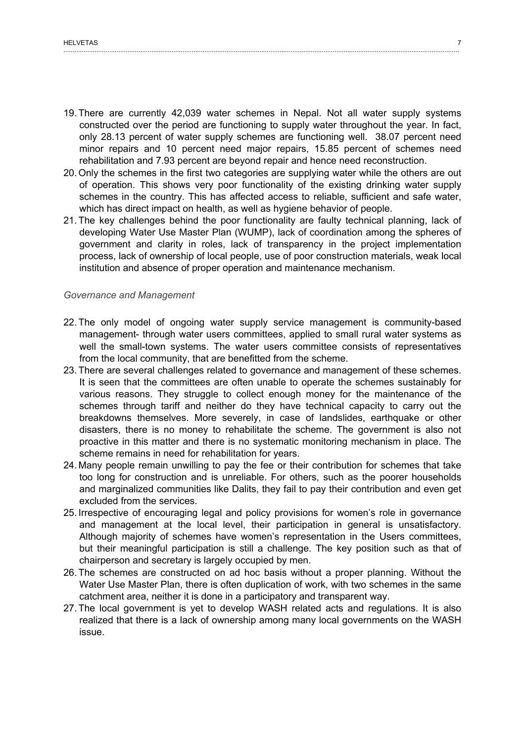- 19. There are currently 42,039 water schemes in Nepal. Not all water supply systems constructed over the period are functioning to supply water throughout the year. In fact, only 28.13 percent of water supply schemes are functioning well. 38.07 percent need minor repairs and 10 percent need major repairs, 15.85 percent of schemes need rehabilitation and 7.93 percent are beyond repair and hence need reconstruction.
- 20. Only the schemes in the first two categories are supplying water while the others are out of operation. This shows very poor functionality of the existing drinking water supply schemes in the country. This has affected access to reliable, sufficient and safe water, which has direct impact on health, as well as hygiene behavior of people.
- 21. The key challenges behind the poor functionality are faulty technical planning, lack of developing Water Use Master Plan (WUMP), lack of coordination among the spheres of government and clarity in roles, lack of transparency in the project implementation process, lack of ownership of local people, use of poor construction materials, weak local institution and absence of proper operation and maintenance mechanism.

#### *Governance and Management*

- 22. The only model of ongoing water supply service management is community-based management- through water users committees, applied to small rural water systems as well the small-town systems. The water users committee consists of representatives from the local community, that are benefitted from the scheme.
- 23. There are several challenges related to governance and management of these schemes. It is seen that the committees are often unable to operate the schemes sustainably for various reasons. They struggle to collect enough money for the maintenance of the schemes through tariff and neither do they have technical capacity to carry out the breakdowns themselves. More severely, in case of landslides, earthquake or other disasters, there is no money to rehabilitate the scheme. The government is also not proactive in this matter and there is no systematic monitoring mechanism in place. The scheme remains in need for rehabilitation for years.
- 24. Many people remain unwilling to pay the fee or their contribution for schemes that take too long for construction and is unreliable. For others, such as the poorer households and marginalized communities like Dalits, they fail to pay their contribution and even get excluded from the services.
- 25. Irrespective of encouraging legal and policy provisions for women'<sup>s</sup> role in governance and management at the local level, their participation in general is unsatisfactory. Although majority of schemes have women'<sup>s</sup> representation in the Users committees, but their meaningful participation is still <sup>a</sup> challenge. The key position such as that of chairperson and secretary is largely occupied by men.
- 26. The schemes are constructed on ad hoc basis without <sup>a</sup> proper planning. Without the Water Use Master Plan, there is often duplication of work, with two schemes in the same catchment area, neither it is done in <sup>a</sup> participatory and transparent way.
- 27. The local government is yet to develop WASH related acts and regulations. It is also realized that there is <sup>a</sup> lack of ownership among many local governments on the WASH issue.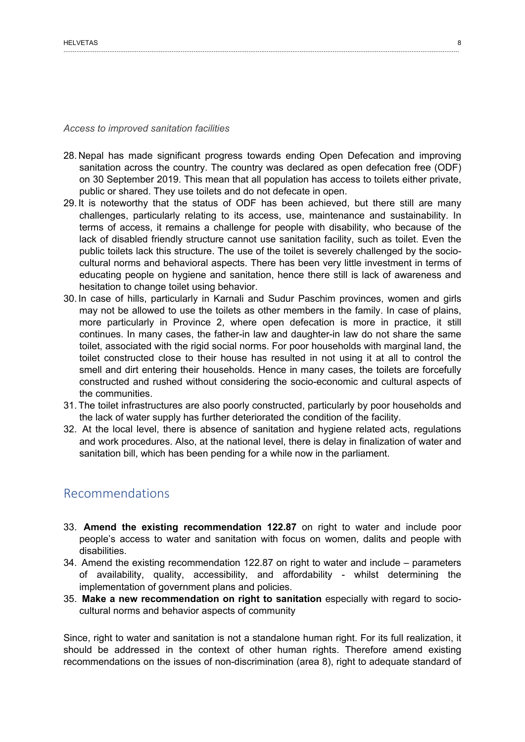#### *Access to improved sanitation facilities*

- 28. Nepal has made significant progress towards ending Open Defecation and improving sanitation across the country. The country was declared as open defecation free (ODF) on 30 September 2019. This mean that all population has access to toilets either private, public or shared. They use toilets and do not defecate in open.
- 29. It is noteworthy that the status of ODF has been achieved, but there still are many challenges, particularly relating to its access, use, maintenance and sustainability. In terms of access, it remains <sup>a</sup> challenge for people with disability, who because of the lack of disabled friendly structure cannot use sanitation facility, such as toilet. Even the public toilets lack this structure. The use of the toilet is severely challenged by the sociocultural norms and behavioral aspects. There has been very little investment in terms of educating people on hygiene and sanitation, hence there still is lack of awareness and hesitation to change toilet using behavior.
- 30. In case of hills, particularly in Karnali and Sudur Paschim provinces, women and girls may not be allowed to use the toilets as other members in the family. In case of plains, more particularly in Province 2, where open defecation is more in practice, it still continues. In many cases, the father-in law and daughter-in law do not share the same toilet, associated with the rigid social norms. For poor households with marginal land, the toilet constructed close to their house has resulted in not using it at all to control the smell and dirt entering their households. Hence in many cases, the toilets are forcefully constructed and rushed without considering the socio-economic and cultural aspects of the communities.
- 31. The toilet infrastructures are also poorly constructed, particularly by poor households and the lack of water supply has further deteriorated the condition of the facility.
- 32. At the local level, there is absence of sanitation and hygiene related acts, regulations and work procedures. Also, at the national level, there is delay in finalization of water and sanitation bill, which has been pending for <sup>a</sup> while now in the parliament.

#### Recommendations

- 33. **Amend the existing recommendation 122.87** on right to water and include poor people'<sup>s</sup> access to water and sanitation with focus on women, dalits and people with disabilities.
- 34. Amend the existing recommendation 122.87 on right to water and include parameters of availability, quality, accessibility, and affordability - whilst determining the implementation of government plans and policies.
- 35. **Make <sup>a</sup> new recommendation on right to sanitation** especially with regard to sociocultural norms and behavior aspects of community

Since, right to water and sanitation is not <sup>a</sup> standalone human right. For its full realization, it should be addressed in the context of other human rights. Therefore amend existing recommendations on the issues of non-discrimination (area 8), right to adequate standard of